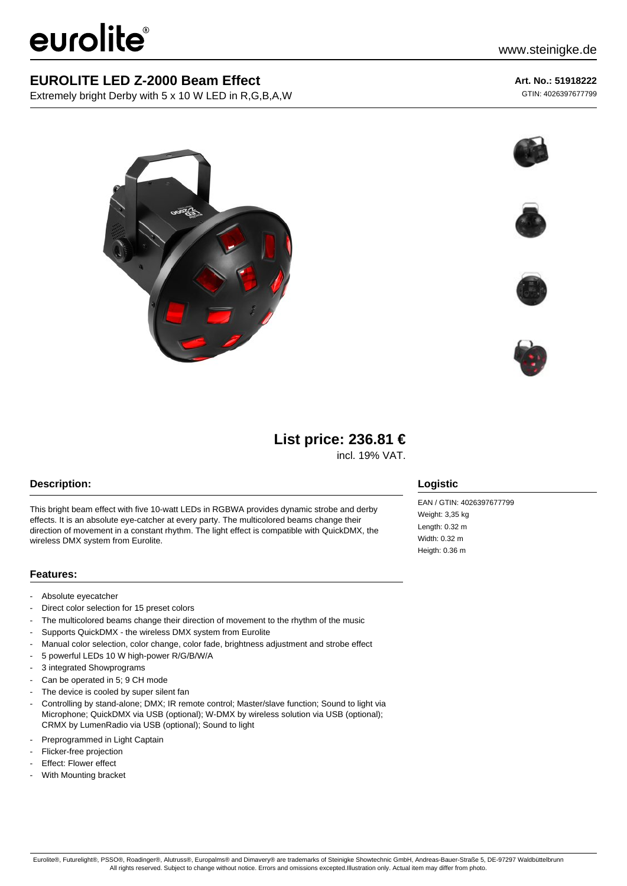# eurolite®

## **EUROLITE LED Z-2000 Beam Effect**

Extremely bright Derby with 5 x 10 W LED in R,G,B,A,W

#### **Art. No.: 51918222**

GTIN: 4026397677799











# **List price: 236.81 €**

incl. 19% VAT.

#### **Description:**

This bright beam effect with five 10-watt LEDs in RGBWA provides dynamic strobe and derby effects. It is an absolute eye-catcher at every party. The multicolored beams change their direction of movement in a constant rhythm. The light effect is compatible with QuickDMX, the wireless DMX system from Eurolite.

#### **Features:**

- Absolute eyecatcher
- Direct color selection for 15 preset colors
- The multicolored beams change their direction of movement to the rhythm of the music
- Supports QuickDMX the wireless DMX system from Eurolite
- Manual color selection, color change, color fade, brightness adjustment and strobe effect
- 5 powerful LEDs 10 W high-power R/G/B/W/A
- 3 integrated Showprograms
- Can be operated in 5; 9 CH mode
- The device is cooled by super silent fan
- Controlling by stand-alone; DMX; IR remote control; Master/slave function; Sound to light via Microphone; QuickDMX via USB (optional); W-DMX by wireless solution via USB (optional); CRMX by LumenRadio via USB (optional); Sound to light
- Preprogrammed in Light Captain
- Flicker-free projection
- Effect: Flower effect
- With Mounting bracket

#### **Logistic**

EAN / GTIN: 4026397677799 Weight: 3,35 kg Length: 0.32 m Width: 0.32 m Heigth: 0.36 m

Eurolite®, Futurelight®, PSSO®, Roadinger®, Alutruss®, Europalms® and Dimavery® are trademarks of Steinigke Showtechnic GmbH, Andreas-Bauer-Straße 5, DE-97297 Waldbüttelbrunn All rights reserved. Subject to change without notice. Errors and omissions excepted.Illustration only. Actual item may differ from photo.